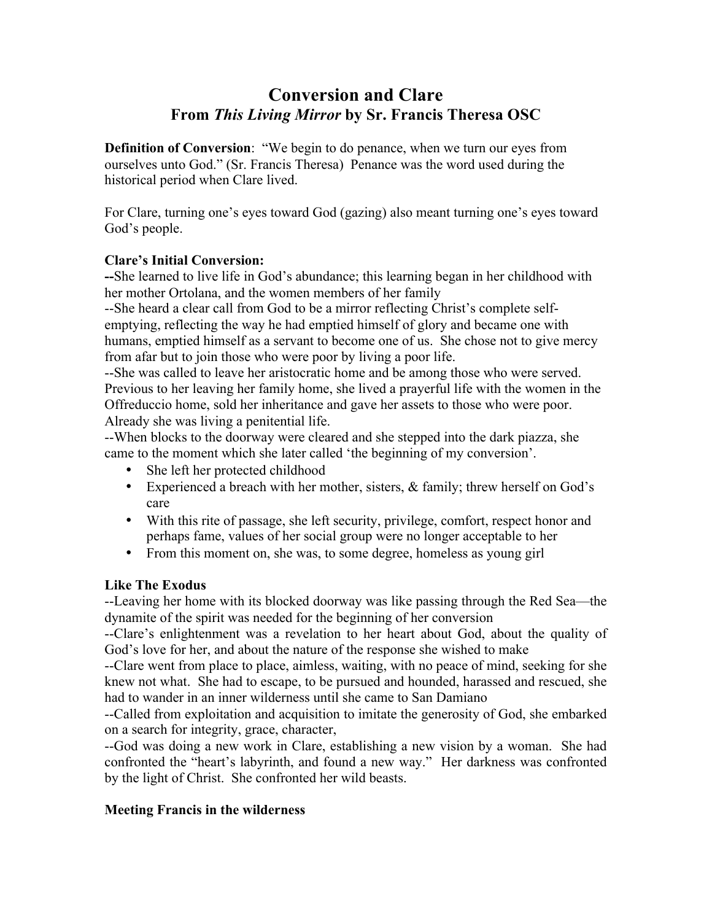## **Conversion and Clare From** *This Living Mirror* **by Sr. Francis Theresa OSC**

**Definition of Conversion**: "We begin to do penance, when we turn our eyes from ourselves unto God." (Sr. Francis Theresa) Penance was the word used during the historical period when Clare lived.

For Clare, turning one's eyes toward God (gazing) also meant turning one's eyes toward God's people.

### **Clare's Initial Conversion:**

**--**She learned to live life in God's abundance; this learning began in her childhood with her mother Ortolana, and the women members of her family

--She heard a clear call from God to be a mirror reflecting Christ's complete selfemptying, reflecting the way he had emptied himself of glory and became one with humans, emptied himself as a servant to become one of us. She chose not to give mercy from afar but to join those who were poor by living a poor life.

--She was called to leave her aristocratic home and be among those who were served. Previous to her leaving her family home, she lived a prayerful life with the women in the Offreduccio home, sold her inheritance and gave her assets to those who were poor. Already she was living a penitential life.

--When blocks to the doorway were cleared and she stepped into the dark piazza, she came to the moment which she later called 'the beginning of my conversion'.

- She left her protected childhood
- Experienced a breach with her mother, sisters, & family; threw herself on God's care
- With this rite of passage, she left security, privilege, comfort, respect honor and perhaps fame, values of her social group were no longer acceptable to her
- From this moment on, she was, to some degree, homeless as young girl

### **Like The Exodus**

--Leaving her home with its blocked doorway was like passing through the Red Sea—the dynamite of the spirit was needed for the beginning of her conversion

--Clare's enlightenment was a revelation to her heart about God, about the quality of God's love for her, and about the nature of the response she wished to make

--Clare went from place to place, aimless, waiting, with no peace of mind, seeking for she knew not what. She had to escape, to be pursued and hounded, harassed and rescued, she had to wander in an inner wilderness until she came to San Damiano

--Called from exploitation and acquisition to imitate the generosity of God, she embarked on a search for integrity, grace, character,

--God was doing a new work in Clare, establishing a new vision by a woman. She had confronted the "heart's labyrinth, and found a new way." Her darkness was confronted by the light of Christ. She confronted her wild beasts.

### **Meeting Francis in the wilderness**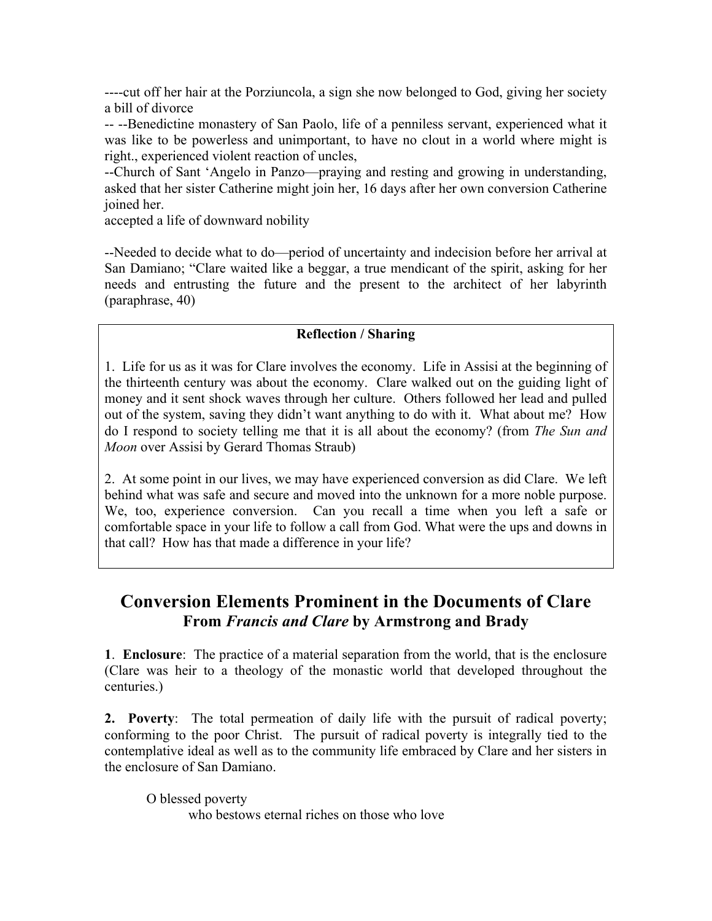----cut off her hair at the Porziuncola, a sign she now belonged to God, giving her society a bill of divorce

-- --Benedictine monastery of San Paolo, life of a penniless servant, experienced what it was like to be powerless and unimportant, to have no clout in a world where might is right., experienced violent reaction of uncles,

--Church of Sant 'Angelo in Panzo—praying and resting and growing in understanding, asked that her sister Catherine might join her, 16 days after her own conversion Catherine joined her.

accepted a life of downward nobility

--Needed to decide what to do—period of uncertainty and indecision before her arrival at San Damiano; "Clare waited like a beggar, a true mendicant of the spirit, asking for her needs and entrusting the future and the present to the architect of her labyrinth (paraphrase, 40)

#### **Reflection / Sharing**

1. Life for us as it was for Clare involves the economy. Life in Assisi at the beginning of the thirteenth century was about the economy. Clare walked out on the guiding light of money and it sent shock waves through her culture. Others followed her lead and pulled out of the system, saving they didn't want anything to do with it. What about me? How do I respond to society telling me that it is all about the economy? (from *The Sun and Moon* over Assisi by Gerard Thomas Straub)

2. At some point in our lives, we may have experienced conversion as did Clare. We left behind what was safe and secure and moved into the unknown for a more noble purpose. We, too, experience conversion. Can you recall a time when you left a safe or comfortable space in your life to follow a call from God. What were the ups and downs in that call? How has that made a difference in your life?

## **Conversion Elements Prominent in the Documents of Clare From** *Francis and Clare* **by Armstrong and Brady**

**1**. **Enclosure**: The practice of a material separation from the world, that is the enclosure (Clare was heir to a theology of the monastic world that developed throughout the centuries.)

**2. Poverty**: The total permeation of daily life with the pursuit of radical poverty; conforming to the poor Christ. The pursuit of radical poverty is integrally tied to the contemplative ideal as well as to the community life embraced by Clare and her sisters in the enclosure of San Damiano.

O blessed poverty

who bestows eternal riches on those who love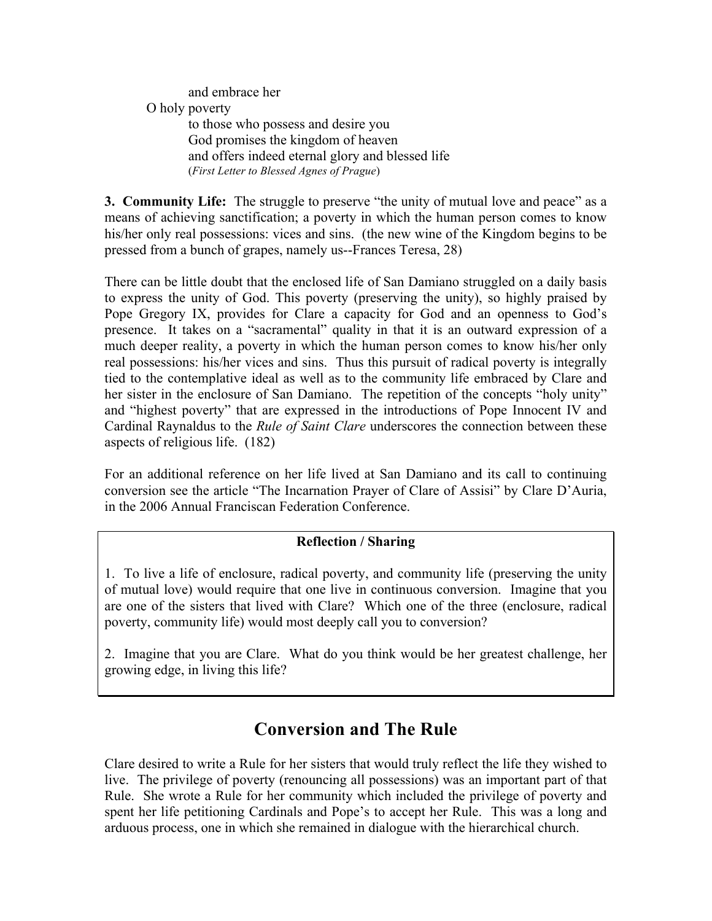and embrace her O holy poverty to those who possess and desire you God promises the kingdom of heaven and offers indeed eternal glory and blessed life (*First Letter to Blessed Agnes of Prague*)

**3. Community Life:** The struggle to preserve "the unity of mutual love and peace" as a means of achieving sanctification; a poverty in which the human person comes to know his/her only real possessions: vices and sins. (the new wine of the Kingdom begins to be pressed from a bunch of grapes, namely us--Frances Teresa, 28)

There can be little doubt that the enclosed life of San Damiano struggled on a daily basis to express the unity of God. This poverty (preserving the unity), so highly praised by Pope Gregory IX, provides for Clare a capacity for God and an openness to God's presence. It takes on a "sacramental" quality in that it is an outward expression of a much deeper reality, a poverty in which the human person comes to know his/her only real possessions: his/her vices and sins. Thus this pursuit of radical poverty is integrally tied to the contemplative ideal as well as to the community life embraced by Clare and her sister in the enclosure of San Damiano. The repetition of the concepts "holy unity" and "highest poverty" that are expressed in the introductions of Pope Innocent IV and Cardinal Raynaldus to the *Rule of Saint Clare* underscores the connection between these aspects of religious life. (182)

For an additional reference on her life lived at San Damiano and its call to continuing conversion see the article "The Incarnation Prayer of Clare of Assisi" by Clare D'Auria, in the 2006 Annual Franciscan Federation Conference.

### **Reflection / Sharing**

1. To live a life of enclosure, radical poverty, and community life (preserving the unity of mutual love) would require that one live in continuous conversion. Imagine that you are one of the sisters that lived with Clare? Which one of the three (enclosure, radical poverty, community life) would most deeply call you to conversion?

2. Imagine that you are Clare. What do you think would be her greatest challenge, her growing edge, in living this life?

## **Conversion and The Rule**

Clare desired to write a Rule for her sisters that would truly reflect the life they wished to live. The privilege of poverty (renouncing all possessions) was an important part of that Rule. She wrote a Rule for her community which included the privilege of poverty and spent her life petitioning Cardinals and Pope's to accept her Rule. This was a long and arduous process, one in which she remained in dialogue with the hierarchical church.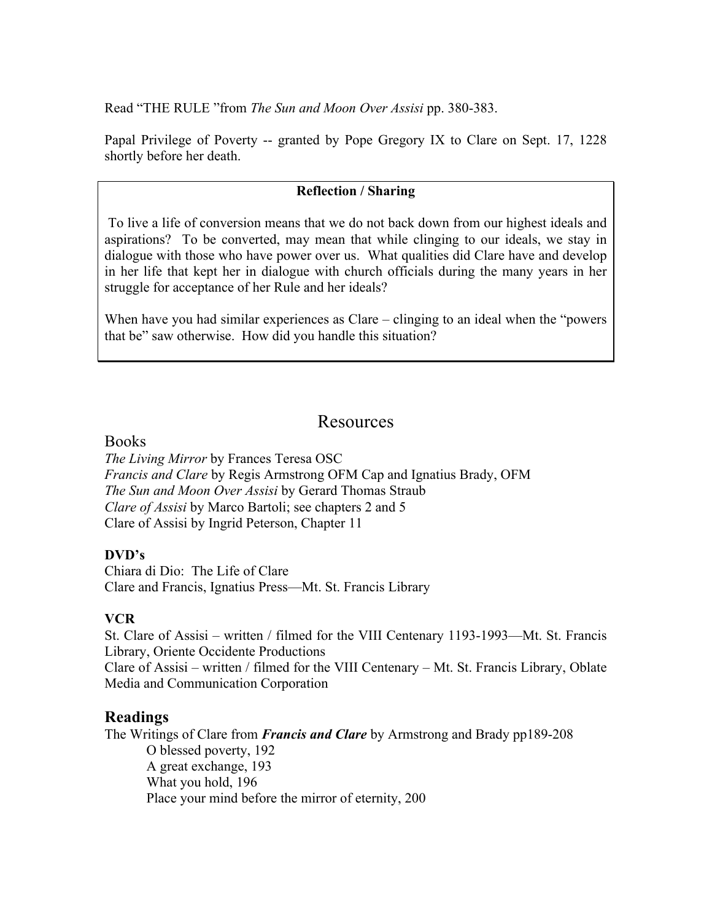Read "THE RULE "from *The Sun and Moon Over Assisi* pp. 380-383.

Papal Privilege of Poverty -- granted by Pope Gregory IX to Clare on Sept. 17, 1228 shortly before her death.

#### **Reflection / Sharing**

To live a life of conversion means that we do not back down from our highest ideals and aspirations? To be converted, may mean that while clinging to our ideals, we stay in dialogue with those who have power over us. What qualities did Clare have and develop in her life that kept her in dialogue with church officials during the many years in her struggle for acceptance of her Rule and her ideals?

When have you had similar experiences as Clare – clinging to an ideal when the "powers" that be" saw otherwise. How did you handle this situation?

## Resources

**Books** 

*The Living Mirror* by Frances Teresa OSC *Francis and Clare* by Regis Armstrong OFM Cap and Ignatius Brady, OFM *The Sun and Moon Over Assisi* by Gerard Thomas Straub *Clare of Assisi* by Marco Bartoli; see chapters 2 and 5 Clare of Assisi by Ingrid Peterson, Chapter 11

### **DVD's**

Chiara di Dio: The Life of Clare Clare and Francis, Ignatius Press—Mt. St. Francis Library

### **VCR**

St. Clare of Assisi – written / filmed for the VIII Centenary 1193-1993—Mt. St. Francis Library, Oriente Occidente Productions Clare of Assisi – written / filmed for the VIII Centenary – Mt. St. Francis Library, Oblate Media and Communication Corporation

### **Readings**

The Writings of Clare from *Francis and Clare* by Armstrong and Brady pp189-208 O blessed poverty, 192 A great exchange, 193 What you hold, 196 Place your mind before the mirror of eternity, 200